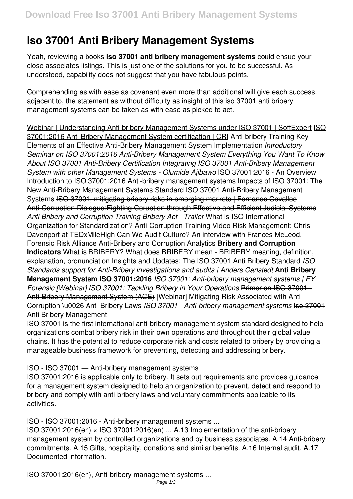# **Iso 37001 Anti Bribery Management Systems**

Yeah, reviewing a books **iso 37001 anti bribery management systems** could ensue your close associates listings. This is just one of the solutions for you to be successful. As understood, capability does not suggest that you have fabulous points.

Comprehending as with ease as covenant even more than additional will give each success. adjacent to, the statement as without difficulty as insight of this iso 37001 anti bribery management systems can be taken as with ease as picked to act.

Webinar | Understanding Anti-bribery Management Systems under ISO 37001 | SoftExpert ISO 37001:2016 Anti Bribery Management System certification | CRI Anti-bribery Training Key Elements of an Effective Anti-Bribery Management System Implementation *Introductory Seminar on ISO 37001:2016 Anti-Bribery Management System Everything You Want To Know About ISO 37001 Anti-Bribery Certification Integrating ISO 37001 Anti-Bribery Management System with other Management Systems - Olumide Ajibawo* ISO 37001:2016 - An Overview Introduction to ISO 37001:2016 Anti-bribery management systems Impacts of ISO 37001: The New Anti-Bribery Management Systems Standard ISO 37001 Anti-Bribery Management Systems ISO 37001, mitigating bribery risks in emerging markets | Fernando Cevallos Anti-Corruption Dialogue:Fighting Coruption through Effective and Efficient Judicial Systems *Anti Bribery and Corruption Training Bribery Act - Trailer* What is ISO International Organization for Standardization? Anti-Corruption Training Video Risk Management: Chris Davenport at TEDxMileHigh Can We Audit Culture? An interview with Frances McLeod, Forensic Risk Alliance Anti-Bribery and Corruption Analytics **Bribery and Corruption Indicators** What is BRIBERY? What does BRIBERY mean - BRIBERY meaning, definition, explanation, pronunciation Insights and Updates: The ISO 37001 Anti Bribery Standard *ISO Standards support for Anti-Bribery investigations and audits | Anders Carlstedt* **Anti Bribery Management System ISO 37001:2016** *ISO 37001: Anti-bribery management systems | EY Forensic [Webinar] ISO 37001: Tackling Bribery in Your Operations* Primer on ISO 37001 - Anti-Bribery Management System (ACE) [Webinar] Mitigating Risk Associated with Anti-Corruption \u0026 Anti-Bribery Laws *ISO 37001 - Anti-bribery management systems* Iso 37001 Anti Bribery Management

ISO 37001 is the first international anti-bribery management system standard designed to help organizations combat bribery risk in their own operations and throughout their global value chains. It has the potential to reduce corporate risk and costs related to bribery by providing a manageable business framework for preventing, detecting and addressing bribery.

# ISO - ISO 37001 — Anti-bribery management systems

ISO 37001:2016 is applicable only to bribery. It sets out requirements and provides guidance for a management system designed to help an organization to prevent, detect and respond to bribery and comply with anti-bribery laws and voluntary commitments applicable to its activities.

#### ISO - ISO 37001:2016 - Anti-bribery management systems ...

ISO 37001:2016(en) × ISO 37001:2016(en) ... A.13 Implementation of the anti-bribery management system by controlled organizations and by business associates. A.14 Anti-bribery commitments. A.15 Gifts, hospitality, donations and similar benefits. A.16 Internal audit. A.17 Documented information.

ISO 37001:2016(en), Anti-bribery management systems ...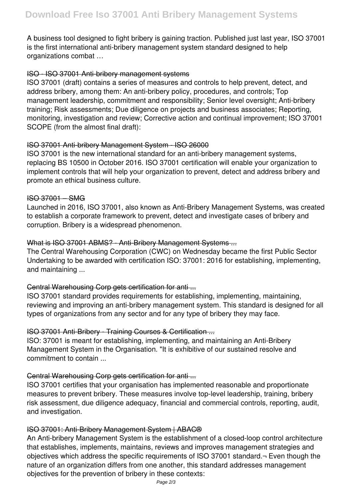A business tool designed to fight bribery is gaining traction. Published just last year, ISO 37001 is the first international anti-bribery management system standard designed to help organizations combat …

# ISO - ISO 37001 Anti-bribery management systems

ISO 37001 (draft) contains a series of measures and controls to help prevent, detect, and address bribery, among them: An anti-bribery policy, procedures, and controls; Top management leadership, commitment and responsibility; Senior level oversight; Anti-bribery training; Risk assessments; Due diligence on projects and business associates; Reporting, monitoring, investigation and review; Corrective action and continual improvement; ISO 37001 SCOPE (from the almost final draft):

# ISO 37001 Anti-bribery Management System - ISO 26000

ISO 37001 is the new international standard for an anti-bribery management systems, replacing BS 10500 in October 2016. ISO 37001 certification will enable your organization to implement controls that will help your organization to prevent, detect and address bribery and promote an ethical business culture.

# ISO 37001 – SMG

Launched in 2016, ISO 37001, also known as Anti-Bribery Management Systems, was created to establish a corporate framework to prevent, detect and investigate cases of bribery and corruption. Bribery is a widespread phenomenon.

# What is ISO 37001 ABMS? - Anti-Bribery Management Systems ...

The Central Warehousing Corporation (CWC) on Wednesday became the first Public Sector Undertaking to be awarded with certification ISO: 37001: 2016 for establishing, implementing, and maintaining ...

# Central Warehousing Corp gets certification for anti ...

ISO 37001 standard provides requirements for establishing, implementing, maintaining, reviewing and improving an anti-bribery management system. This standard is designed for all types of organizations from any sector and for any type of bribery they may face.

#### ISO 37001 Anti-Bribery - Training Courses & Certification ...

ISO: 37001 is meant for establishing, implementing, and maintaining an Anti-Bribery Management System in the Organisation. "It is exhibitive of our sustained resolve and commitment to contain ...

# Central Warehousing Corp gets certification for anti ...

ISO 37001 certifies that your organisation has implemented reasonable and proportionate measures to prevent bribery. These measures involve top-level leadership, training, bribery risk assessment, due diligence adequacy, financial and commercial controls, reporting, audit, and investigation.

#### ISO 37001: Anti-Bribery Management System | ABAC®

An Anti-bribery Management System is the establishment of a closed-loop control architecture that establishes, implements, maintains, reviews and improves management strategies and objectives which address the specific requirements of ISO 37001 standard.¬ Even though the nature of an organization differs from one another, this standard addresses management objectives for the prevention of bribery in these contexts: